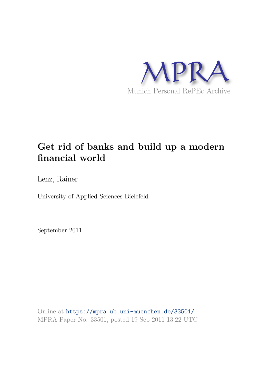

# **Get rid of banks and build up a modern financial world**

Lenz, Rainer

University of Applied Sciences Bielefeld

September 2011

Online at https://mpra.ub.uni-muenchen.de/33501/ MPRA Paper No. 33501, posted 19 Sep 2011 13:22 UTC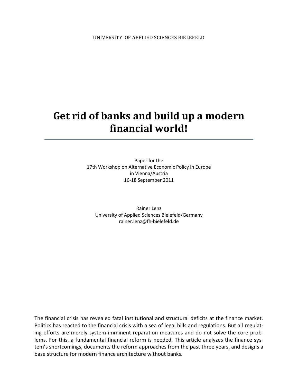# **Get rid of banks and build up a modern financial world!**

Paper for the 17th Workshop on Alternative Economic Policy in Europe in Vienna/Austria 16-18 September 2011

Rainer Lenz University of Applied Sciences Bielefeld/Germany rainer.lenz@fh-bielefeld.de

The financial crisis has revealed fatal institutional and structural deficits at the finance market. Politics has reacted to the financial crisis with a sea of legal bills and regulations. But all regulating efforts are merely system-imminent reparation measures and do not solve the core problems. For this, a fundamental financial reform is needed. This article analyzes the finance system's shortcomings, documents the reform approaches from the past three years, and designs a base structure for modern finance architecture without banks.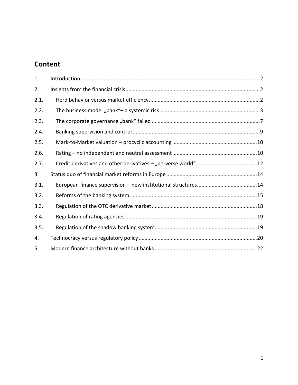### **Content**

| 1.   |  |
|------|--|
| 2.   |  |
| 2.1. |  |
| 2.2. |  |
| 2.3. |  |
| 2.4. |  |
| 2.5. |  |
| 2.6. |  |
| 2.7. |  |
| 3.   |  |
| 3.1. |  |
| 3.2. |  |
| 3.3. |  |
| 3.4. |  |
| 3.5. |  |
| 4.   |  |
| 5.   |  |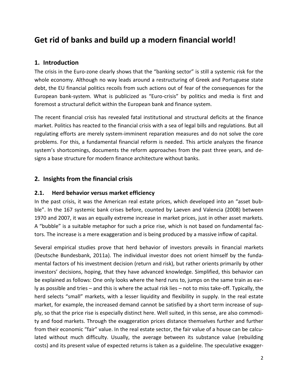## **Get rid of banks and build up a modern financial world!**

#### <span id="page-3-0"></span>**1. Introduction**

The crisis in the Euro-zone clearly shows that the "banking sector" is still a systemic risk for the whole economy. Although no way leads around a restructuring of Greek and Portuguese state debt, the EU financial politics recoils from such actions out of fear of the consequences for the European bank-system. What is publicized as "Euro-crisis" by politics and media is first and foremost a structural deficit within the European bank and finance system.

The recent financial crisis has revealed fatal institutional and structural deficits at the finance market. Politics has reacted to the financial crisis with a sea of legal bills and regulations. But all regulating efforts are merely system-imminent reparation measures and do not solve the core problems. For this, a fundamental financial reform is needed. This article analyzes the finance system's shortcomings, documents the reform approaches from the past three years, and designs a base structure for modern finance architecture without banks.

#### <span id="page-3-1"></span>**2. Insights from the financial crisis**

#### <span id="page-3-2"></span>**2.1. Herd behavior versus market efficiency**

In the past crisis, it was the American real estate prices, which developed into an "asset bubble". In the 167 systemic bank crises before, counted by [Laeven and Valencia \(2008\)](#page-27-0) between 1970 and 2007, it was an equally extreme increase in market prices, just in other asset markets. A "bubble" is a suitable metaphor for such a price rise, which is not based on fundamental factors. The increase is a mere exaggeration and is being produced by a massive inflow of capital.

Several empirical studies prove that herd behavior of investors prevails in financial markets [\(Deutsche Bundesbank, 2011a\)](#page-27-1). The individual investor does not orient himself by the fundamental factors of his investment decision (return and risk), but rather orients primarily by other investors' decisions, hoping, that they have advanced knowledge. Simplified, this behavior can be explained as follows: One only looks where the herd runs to, jumps on the same train as early as possible and tries – and this is where the actual risk lies – not to miss take-off. Typically, the herd selects "small" markets, with a lesser liquidity and flexibility in supply. In the real estate market, for example, the increased demand cannot be satisfied by a short term increase of supply, so that the price rise is especially distinct here. Well suited, in this sense, are also commodity and food markets. Through the exaggeration prices distance themselves further and further from their economic "fair" value. In the real estate sector, the fair value of a house can be calculated without much difficulty. Usually, the average between its substance value (rebuilding costs) and its present value of expected returns is taken as a guideline. The speculative exagger-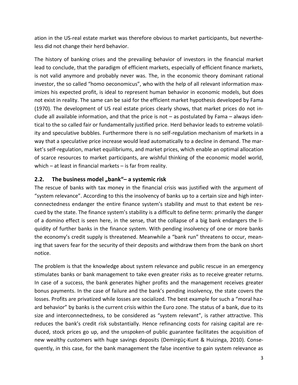ation in the US-real estate market was therefore obvious to market participants, but nevertheless did not change their herd behavior.

The history of banking crises and the prevailing behavior of investors in the financial market lead to conclude, that the paradigm of efficient markets, especially of efficient finance markets, is not valid anymore and probably never was. The, in the economic theory dominant rational investor, the so called "homo oeconomicus", who with the help of all relevant information maximizes his expected profit, is ideal to represent human behavior in economic models, but does not exist in reality. The same can be said for the efficient market hypothesis developed by [Fama](#page-27-2)  [\(1970\)](#page-27-2). The development of US real estate prices clearly shows, that market prices do not include all available information, and that the price is not – as postulated by Fama – always identical to the so called fair or fundamentally justified price. Herd behavior leads to extreme volatility and speculative bubbles. Furthermore there is no self-regulation mechanism of markets in a way that a speculative price increase would lead automatically to a decline in demand. The market's self-regulation, market equilibriums, and market prices, which enable an optimal allocation of scarce resources to market participants, are wishful thinking of the economic model world, which – at least in financial markets – is far from reality.

#### <span id="page-4-0"></span>**2.2. The business model "bank"– a systemic risk**

The rescue of banks with tax money in the financial crisis was justified with the argument of "system relevance". According to this the insolvency of banks up to a certain size and high interconnectedness endanger the entire finance system's stability and must to that extent be rescued by the state. The finance system's stability is a difficult to define term: primarily the danger of a domino effect is seen here, in the sense, that the collapse of a big bank endangers the liquidity of further banks in the finance system. With pending insolvency of one or more banks the economy's credit supply is threatened. Meanwhile a "bank run" threatens to occur, meaning that savers fear for the security of their deposits and withdraw them from the bank on short notice.

The problem is that the knowledge about system relevance and public rescue in an emergency stimulates banks or bank management to take even greater risks as to receive greater returns. In case of a success, the bank generates higher profits and the management receives greater bonus payments. In the case of failure and the bank's pending insolvency, the state covers the losses. Profits are privatized while losses are socialized. The best example for such a "moral hazard behavior" by banks is the current crisis within the Euro zone. The status of a bank, due to its size and interconnectedness, to be considered as "system relevant", is rather attractive. This reduces the bank's credit risk substantially. Hence refinancing costs for raising capital are reduced, stock prices go up, and the unspoken-of public guarantee facilitates the acquisition of new wealthy customers with huge savings deposits [\(Demirgüç-Kunt & Huizinga, 2010\)](#page-27-3). Consequently, in this case, for the bank management the false incentive to gain system relevance as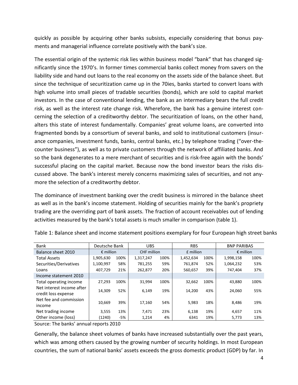quickly as possible by acquiring other banks subsists, especially considering that bonus payments and managerial influence correlate positively with the bank's size.

The essential origin of the systemic risk lies within business model "bank" that has changed significantly since the 1970's. In former times commercial banks collect money from savers on the liability side and hand out loans to the real economy on the assets side of the balance sheet. But since the technique of securitization came up in the 70ies, banks started to convert loans with high volume into small pieces of tradable securities (bonds), which are sold to capital market investors. In the case of conventional lending, the bank as an intermediary bears the full credit risk, as well as the interest rate change risk. Wherefore, the bank has a genuine interest concerning the selection of a creditworthy debtor. The securitization of loans, on the other hand, alters this state of interest fundamentally. Companies' great volume loans, are converted into fragmented bonds by a consortium of several banks, and sold to institutional customers (insurance companies, investment funds, banks, central banks, etc.) by telephone trading ("over-thecounter business"), as well as to private customers through the network of affiliated banks. And so the bank degenerates to a mere merchant of securities and is risk-free again with the bonds' successful placing on the capital market. Because now the bond investor bears the risks discussed above. The bank's interest merely concerns maximizing sales of securities, and not anymore the selection of a creditworthy debtor.

The dominance of investment banking over the credit business is mirrored in the balance sheet as well as in the bank's income statement. Holding of securities mainly for the bank's propriety trading are the overriding part of bank assets. The fraction of account receivables out of lending activities measured by the bank's total assets is much smaller in comparison (table 1).

| Bank                                             | Deutsche Bank      |       | <b>UBS</b>         |      | <b>RBS</b> |      | <b>BNP PARIBAS</b> |      |
|--------------------------------------------------|--------------------|-------|--------------------|------|------------|------|--------------------|------|
| Balance sheet 2010                               | $\epsilon$ million |       | <b>CHF</b> million |      | £ million  |      | $\epsilon$ million |      |
| <b>Total Assets</b>                              | 1,905,630          | 100%  | 1,317,247          | 100% | 1,452,634  | 100% | 1,998,158          | 100% |
| Securities/Derivatives                           | 1,100,997          | 58%   | 781,255            | 59%  | 761,874    | 52%  | 1,064,232          | 53%  |
| Loans                                            | 407,729            | 21%   | 262,877            | 20%  | 560,657    | 39%  | 747,404            | 37%  |
| Income statement 2010                            |                    |       |                    |      |            |      |                    |      |
| Total operating income                           | 27,293             | 100%  | 31,994             | 100% | 32,662     | 100% | 43,880             | 100% |
| Net interest income after<br>credit loss expense | 14,309             | 52%   | 6,149              | 19%  | 14,200     | 43%  | 24,060             | 55%  |
| Net fee and commission<br>income                 | 10,669             | 39%   | 17,160             | 54%  | 5,983      | 18%  | 8,486              | 19%  |
| Net trading income                               | 3,555              | 13%   | 7,471              | 23%  | 6,138      | 19%  | 4,657              | 11%  |
| Other income (loss)                              | (1240)             | $-5%$ | 1,214              | 4%   | 6341       | 19%  | 5,773              | 13%  |

Table 1: Balance sheet and income statement positions exemplary for four European high street banks

Source: The banks' annual reports 2010

Generally, the balance sheet volumes of banks have increased substantially over the past years, which was among others caused by the growing number of security holdings. In most European countries, the sum of national banks' assets exceeds the gross domestic product (GDP) by far. In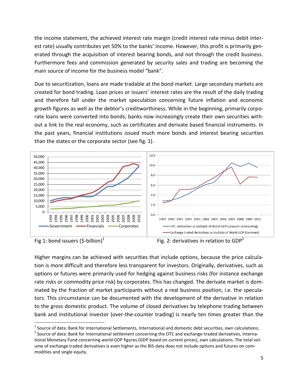the income statement, the achieved interest rate margin (credit interest rate minus debit interest rate) usually contributes yet 50% to the banks' income. However, this profit is primarily generated through the acquisition of interest bearing bonds, and not through the credit business. Furthermore fees and commission generated by security sales and trading are becoming the main source of income for the business model "bank".

Due to securitization, loans are made tradable at the bond market. Large secondary markets are created for bond trading. Loan prices or issuers' interest rates are the result of the daily trading and therefore fall under the market speculation concerning future inflation and economic growth figures as well as the debtor's creditworthiness. While in the beginning, primarily corporate loans were converted into bonds; banks now increasingly create their own securities without a link to the real economy, such as certificates and derivate based financial instruments. In the past years, financial institutions issued much more bonds and interest bearing securities than the states or the corporate sector (see fig. 1).



Fig 1: bond issuers (\$-billion)<sup>1</sup>

Fig. 2: derivatives in relation to  $GDP<sup>2</sup>$ 

Higher margins can be achieved with securities that include options, because the price calculation is more difficult and therefore less transparent for investors. Originally, derivatives, such as options or futures were primarily used for hedging against business risks (for instance exchange rate risks or commodity price risk) by corporates. This has changed. The derivate market is dominated by the fraction of market participants without a real business position, i.e. the speculators. This circumstance can be documented with the development of the derivative in relation to the gross domestic product. The volume of closed derivatives by telephone trading between bank and institutional investor (over-the-counter trading) is nearly ten times greater than the

 $^1$  Source of data: Bank for International Settlements, International and domestic debt securities, own calculations;

 $^2$  Source of data: Bank for International settlement concerning the OTC and exchange-traded derivatives, International Monetary Fund concerning world GDP figures (GDP based on current prices), own calculations. The total volume of exchange traded derivatives is even higher as the BIS-data does not include options and futures on commodities and single equity.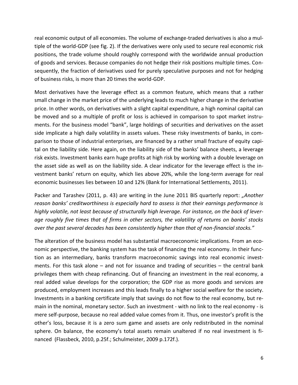real economic output of all economies. The volume of exchange-traded derivatives is also a multiple of the world-GDP (see fig. 2). If the derivatives were only used to secure real economic risk positions, the trade volume should roughly correspond with the worldwide annual production of goods and services. Because companies do not hedge their risk positions multiple times. Consequently, the fraction of derivatives used for purely speculative purposes and not for hedging of business risks, is more than 20 times the world-GDP.

Most derivatives have the leverage effect as a common feature, which means that a rather small change in the market price of the underlying leads to much higher change in the derivative price. In other words, on derivatives with a slight capital expenditure, a high nominal capital can be moved and so a multiple of profit or loss is achieved in comparison to spot market instruments. For the business model "bank", large holdings of securities and derivatives on the asset side implicate a high daily volatility in assets values. These risky investments of banks, in comparison to those of industrial enterprises, are financed by a rather small fracture of equity capital on the liability side. Here again, on the liability side of the banks' balance sheets, a leverage risk exists. Investment banks earn huge profits at high risk by working with a double leverage on the asset side as well as on the liability side. A clear indicator for the leverage effect is the investment banks' return on equity, which lies above 20%, while the long-term average for real economic businesses lies between 10 and 12% [\(Bank for International Settlements, 2011\)](#page-27-4).

[Packer and Tarashev \(2011, p. 43\)](#page-28-0) are writing in the June 2011 BIS quarterly report: *"Another reason banks' creditworthiness is especially hard to assess is that their earnings performance is highly volatile, not least because of structurally high leverage. For instance, on the back of leverage roughly five times that of firms in other sectors, the volatility of returns on banks' stocks over the past several decades has been consistently higher than that of non-financial stocks."*

The alteration of the business model has substantial macroeconomic implications. From an economic perspective, the banking system has the task of financing the real economy. In their function as an intermediary, banks transform macroeconomic savings into real economic investments. For this task alone – and not for issuance and trading of securities – the central bank privileges them with cheap refinancing. Out of financing an investment in the real economy, a real added value develops for the corporation; the GDP rise as more goods and services are produced, employment increases and this leads finally to a higher social welfare for the society. Investments in a banking certificate imply that savings do not flow to the real economy, but remain in the nominal, monetary sector. Such an investment - with no link to the real economy - is mere self-purpose, because no real added value comes from it. Thus, one investor's profit is the other's loss, because it is a zero sum game and assets are only redistributed in the nominal sphere. On balance, the economy's total assets remain unaltered if no real investment is financed [\(Flassbeck, 2010, p.25f.;](#page-27-5) [Schulmeister, 2009 p.172f.\)](#page-28-1).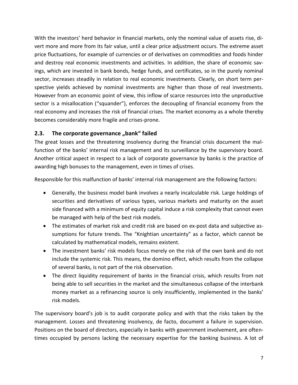With the investors' herd behavior in financial markets, only the nominal value of assets rise, divert more and more from its fair value, until a clear price adjustment occurs. The extreme asset price fluctuations, for example of currencies or of derivatives on commodities and foods hinder and destroy real economic investments and activities. In addition, the share of economic savings, which are invested in bank bonds, hedge funds, and certificates, so in the purely nominal sector, increases steadily in relation to real economic investments. Clearly, on short term perspective yields achieved by nominal investments are higher than those of real investments. However from an economic point of view, this inflow of scarce resources into the unproductive sector is a misallocation ("squander"), enforces the decoupling of financial economy from the real economy and increases the risk of financial crises. The market economy as a whole thereby becomes considerably more fragile and crises-prone.

#### <span id="page-8-0"></span>**2.3.** The corporate governance "bank" failed

The great losses and the threatening insolvency during the financial crisis document the malfunction of the banks' internal risk management and its surveillance by the supervisory board. Another critical aspect in respect to a lack of corporate governance by banks is the practice of awarding high bonuses to the management, even in times of crises.

Responsible for this malfunction of banks' internal risk management are the following factors:

- Generally, the business model bank involves a nearly incalculable risk. Large holdings of securities and derivatives of various types, various markets and maturity on the asset side financed with a minimum of equity capital induce a risk complexity that cannot even be managed with help of the best risk models.
- The estimates of market risk and credit risk are based on ex-post data and subjective assumptions for future trends. The "Knightian uncertainty" as a factor, which cannot be calculated by mathematical models, remains existent.
- The investment banks' risk models focus merely on the risk of the own bank and do not include the systemic risk. This means, the domino effect, which results from the collapse of several banks, is not part of the risk observation.
- The direct liquidity requirement of banks in the financial crisis, which results from not being able to sell securities in the market and the simultaneous collapse of the interbank money market as a refinancing source is only insufficiently, implemented in the banks' risk models.

The supervisory board's job is to audit corporate policy and with that the risks taken by the management. Losses and threatening insolvency, de facto, document a failure in supervision. Positions on the board of directors, especially in banks with government involvement, are oftentimes occupied by persons lacking the necessary expertise for the banking business. A lot of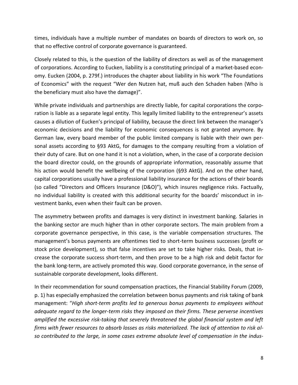times, individuals have a multiple number of mandates on boards of directors to work on, so that no effective control of corporate governance is guaranteed.

Closely related to this, is the question of the liability of directors as well as of the management of corporations. According to Eucken, liability is a constituting principal of a market-based economy. [Eucken \(2004, p. 279f.\)](#page-27-6) introduces the chapter about liability in his work "The Foundations of Economics" with the request "Wer den Nutzen hat, muß auch den Schaden haben (Who is the beneficiary must also have the damage)".

While private individuals and partnerships are directly liable, for capital corporations the corporation is liable as a separate legal entity. This legally limited liability to the entrepreneur's assets causes a dilution of Eucken's principal of liability, because the direct link between the manager's economic decisions and the liability for economic consequences is not granted anymore. By German law, every board member of the public limited company is liable with their own personal assets according to §93 AktG, for damages to the company resulting from a violation of their duty of care. But on one hand it is not a violation, when, in the case of a corporate decision the board director could, on the grounds of appropriate information, reasonably assume that his action would benefit the wellbeing of the corporation (§93 AktG). And on the other hand, capital corporations usually have a professional liability insurance for the actions of their boards (so called "Directors and Officers Insurance (D&O)"), which insures negligence risks. Factually, no individual liability is created with this additional security for the boards' misconduct in investment banks, even when their fault can be proven.

The asymmetry between profits and damages is very distinct in investment banking. Salaries in the banking sector are much higher than in other corporate sectors. The main problem from a corporate governance perspective, in this case, is the variable compensation structures. The management's bonus payments are oftentimes tied to short-term business successes (profit or stock price development), so that false incentives are set to take higher risks. Deals, that increase the corporate success short-term, and then prove to be a high risk and debit factor for the bank long-term, are actively promoted this way. Good corporate governance, in the sense of sustainable corporate development, looks different.

In their recommendation for sound compensation practices, the [Financial Stability Forum \(2009,](#page-27-7)  [p. 1\)](#page-27-7) has especially emphasized the correlation between bonus payments and risk taking of bank management: "*High short-term profits led to generous bonus payments to employees without adequate regard to the longer-term risks they imposed on their firms. These perverse incentives amplified the excessive risk-taking that severely threatened the global financial system and left firms with fewer resources to absorb losses as risks materialized. The lack of attention to risk also contributed to the large, in some cases extreme absolute level of compensation in the indus-*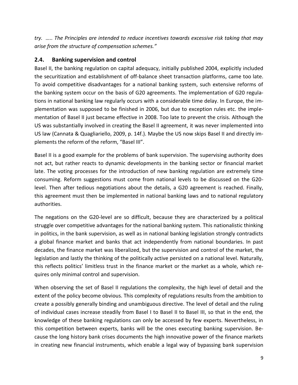*try. ….. The Principles are intended to reduce incentives towards excessive risk taking that may arise from the structure of compensation schemes."*

#### <span id="page-10-0"></span>**2.4. Banking supervision and control**

Basel II, the banking regulation on capital adequacy, initially published 2004, explicitly included the securitization and establishment of off-balance sheet transaction platforms, came too late. To avoid competitive disadvantages for a national banking system, such extensive reforms of the banking system occur on the basis of G20 agreements. The implementation of G20 regulations in national banking law regularly occurs with a considerable time delay. In Europe, the implementation was supposed to be finished in 2006, but due to exception rules etc. the implementation of Basel II just became effective in 2008. Too late to prevent the crisis. Although the US was substantially involved in creating the Basel II agreement, it was never implemented into US law [\(Cannata & Quagliariello, 2009, p. 14f.\)](#page-27-8). Maybe the US now skips Basel II and directly implements the reform of the reform, "Basel III".

Basel II is a good example for the problems of bank supervision. The supervising authority does not act, but rather reacts to dynamic developments in the banking sector or financial market late. The voting processes for the introduction of new banking regulation are extremely time consuming. Reform suggestions must come from national levels to be discussed on the G20 level. Then after tedious negotiations about the details, a G20 agreement is reached. Finally, this agreement must then be implemented in national banking laws and to national regulatory authorities.

The negations on the G20-level are so difficult, because they are characterized by a political struggle over competitive advantages for the national banking system. This nationalistic thinking in politics, in the bank supervision, as well as in national banking legislation strongly contradicts a global finance market and banks that act independently from national boundaries. In past decades, the finance market was liberalized, but the supervision and control of the market, the legislation and lastly the thinking of the politically active persisted on a national level. Naturally, this reflects politics' limitless trust in the finance market or the market as a whole, which requires only minimal control and supervision.

When observing the set of Basel II regulations the complexity, the high level of detail and the extent of the policy become obvious. This complexity of regulations results from the ambition to create a possibly generally binding and unambiguous directive. The level of detail and the ruling of individual cases increase steadily from Basel I to Basel II to Basel III, so that in the end, the knowledge of these banking regulations can only be accessed by few experts. Nevertheless, in this competition between experts, banks will be the ones executing banking supervision. Because the long history bank crises documents the high innovative power of the finance markets in creating new financial instruments, which enable a legal way of bypassing bank supervision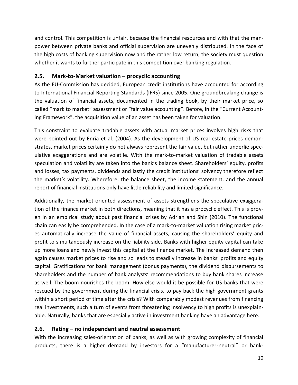and control. This competition is unfair, because the financial resources and with that the manpower between private banks and official supervision are unevenly distributed. In the face of the high costs of banking supervision now and the rather low return, the society must question whether it wants to further participate in this competition over banking regulation.

#### <span id="page-11-0"></span>**2.5. Mark-to-Market valuation – procyclic accounting**

As the EU-Commission has decided, European credit institutions have accounted for according to International Financial Reporting Standards (IFRS) since 2005. One groundbreaking change is the valuation of financial assets, documented in the trading book, by their market price, so called "mark to market" assessment or "fair value accounting". Before, in the "Current Accounting Framework", the acquisition value of an asset has been taken for valuation.

This constraint to evaluate tradable assets with actual market prices involves high risks that were pointed out by [Enria et al. \(2004\)](#page-27-9). As the development of US real estate prices demonstrates, market prices certainly do not always represent the fair value, but rather underlie speculative exaggerations and are volatile. With the mark-to-market valuation of tradable assets speculation and volatility are taken into the bank's balance sheet. Shareholders' equity, profits and losses, tax payments, dividends and lastly the credit institutions' solvency therefore reflect the market's volatility. Wherefore, the balance sheet, the income statement, and the annual report of financial institutions only have little reliability and limited significance.

Additionally, the market-oriented assessment of assets strengthens the speculative exaggeration of the finance market in both directions, meaning that it has a procyclic effect. This is proven in an empirical study about past financial crises by [Adrian and Shin \(2010\)](#page-27-10). The functional chain can easily be comprehended. In the case of a mark-to-market valuation rising market prices automatically increase the value of financial assets, causing the shareholders' equity and profit to simultaneously increase on the liability side. Banks with higher equity capital can take up more loans and newly invest this capital at the finance market. The increased demand then again causes market prices to rise and so leads to steadily increase in banks' profits and equity capital. Gratifications for bank management (bonus payments), the dividend disbursements to shareholders and the number of bank analysts' recommendations to buy bank shares increase as well. The boom nourishes the boom. How else would it be possible for US-banks that were rescued by the government during the financial crisis, to pay back the high government grants within a short period of time after the crisis? With comparably modest revenues from financing real investments, such a turn of events from threatening insolvency to high profits is unexplainable. Naturally, banks that are especially active in investment banking have an advantage here.

#### <span id="page-11-1"></span>**2.6. Rating – no independent and neutral assessment**

With the increasing sales-orientation of banks, as well as with growing complexity of financial products, there is a higher demand by investors for a "manufacturer-neutral" or bank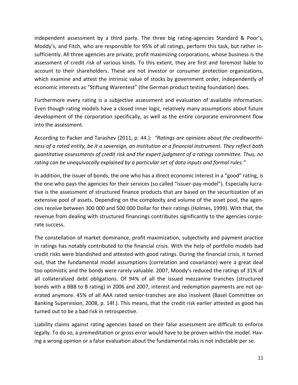independent assessment by a third party. The three big rating-agencies Standard & Poor's, Moddy's, and Fitch, who are responsible for 95% of all ratings, perform this task, but rather insufficiently. All three agencies are private, profit maximizing corporations, whose business is the assessment of credit risk of various kinds. To this extent, they are first and foremost liable to account to their shareholders. These are not investor or consumer protection organizations, which examine and attest the intrinsic value of stocks by government order, independently of economic interests as "Stiftung Warentest" (the German product testing foundation) does.

Furthermore every rating is a subjective assessment and evaluation of available information. Even though rating models have a closed inner logic, relatively many assumptions about future development of the corporation specifically, as well as the entire corporate environment flow into the assessment.

According to [Packer and Tarashev \(2011, p. 44.\)](#page-28-0): *"Ratings are opinions about the creditworthiness of a rated entity, be it a sovereign, an institution or a financial instrument. They reflect both quantitative assessments of credit risk and the expert judgment of a ratings committee. Thus, no rating can be unequivocally explained by a particular set of data inputs and formal rules."*

In addition, the issuer of bonds, the one who has a direct economic interest in a "good" rating, is the one who pays the agencies for their services (so called "issuer-pay-model"). Especially lucrative is the assessment of structured finance products that are based on the securitization of an extensive pool of assets. Depending on the complexity and volume of the asset pool, the agencies receive between 300 000 and 500 000 Dollar for their ratings [\(Holmes, 1999\)](#page-27-11). With that, the revenue from dealing with structured financings contributes significantly to the agencies corporate success.

The constellation of market dominance, profit maximization, subjectivity and payment practice in ratings has notably contributed to the financial crisis. With the help of portfolio models bad credit risks were blandished and attested with good ratings. During the financial crisis, it turned out, that the fundamental model assumptions (correlation and covariance) were a great deal too optimistic and the bonds were rarely valuable. 2007, Moody's reduced the ratings of 31% of all collateralized debt obligations. Of 94% of all the issued mezzanine tranches (structured bonds with a BBB to B rating) in 2006 and 2007, interest and redemption payments are not operated anymore. 45% of all AAA rated senior-tranches are also insolvent [\(Basel Committee on](#page-27-12)  [Banking Supervision, 2008, p. 14f.\)](#page-27-12). This means, that the credit risk earlier attested as good has turned out to be a bad risk in retrospective.

Liability claims against rating agencies based on their false assessment are difficult to enforce legally. To do so, a premeditation or gross error would have to be proven within the model. Having a wrong opinion or a false evaluation about the fundamental risks is not indictable per se.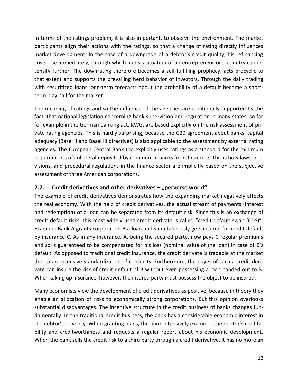In terms of the ratings problem, it is also important, to observe the environment. The market participants align their actions with the ratings, so that a change of rating directly influences market development. In the case of a downgrade of a debtor's credit quality, his refinancing costs rise immediately, through which a crisis situation of an entrepreneur or a country can intensify further. The downrating therefore becomes a self-fulfilling prophecy, acts procyclic to that extent and supports the prevailing herd behavior of investors. Through the daily trading with securitized loans long-term forecasts about the probability of a default become a shortterm play ball for the market.

The meaning of ratings and so the influence of the agencies are additionally supported by the fact, that national legislation concerning bank supervision and regulation in many states, so far for example in the German banking act, KWG, are based explicitly on the risk assessment of private rating agencies. This is hardly surprising, because the G20 agreement about banks' capital adequacy (Basel II and Basel III directives) is also applicable to the assessment by external rating agencies. The European Central Bank too explicitly uses ratings as a standard for the minimum requirements of collateral deposited by commercial banks for refinancing. This is how laws, provisions, and procedural regulations in the finance sector are implicitly based on the subjective assessment of three American corporations.

#### <span id="page-13-0"></span>**2.7.** Credit derivatives and other derivatives – "perverse world"

The example of credit derivatives demonstrates how the expanding market negatively affects the real economy. With the help of credit derivatives, the actual stream of payments (interest and redemption) of a loan can be separated from its default risk. Since this is an exchange of credit default risks, this most widely used credit derivate is called "credit default swap (CDS)". Example: Bank A grants corporation B a loan and simultaneously gets insured for credit default by insurance C. As in any insurance, A, being the secured party, now pays C regular premiums and so is guaranteed to be compensated for his loss (nominal value of the loan) in case of B's default. As opposed to traditional credit insurance, the credit derivate is tradable at the market due to an extensive standardization of contracts. Furthermore, the buyer of such a credit derivate can insure the risk of credit default of B without even possessing a loan handed out to B. When taking up insurance, however, the insured party must possess the object to be insured.

Many economists view the development of credit derivatives as positive, because in theory they enable an allocation of risks to economically strong corporations. But this opinion overlooks substantial disadvantages. The incentive structure in the credit business of banks changes fundamentally. In the traditional credit business, the bank has a considerable economic interest in the debtor's solvency. When granting loans, the bank intensively examines the debtor's creditability and creditworthiness and requests a regular report about his economic development. When the bank sells the credit risk to a third party through a credit derivative, it has no more an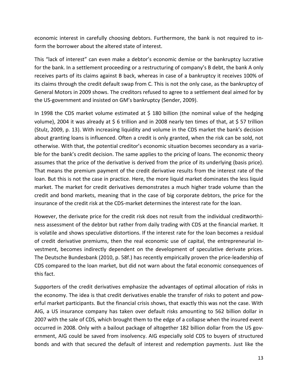economic interest in carefully choosing debtors. Furthermore, the bank is not required to inform the borrower about the altered state of interest.

This "lack of interest" can even make a debtor's economic demise or the bankruptcy lucrative for the bank. In a settlement proceeding or a restructuring of company's B debt, the bank A only receives parts of its claims against B back, whereas in case of a bankruptcy it receives 100% of its claims through the credit default swap from C. This is not the only case, as the bankruptcy of General Motors in 2009 shows. The creditors refused to agree to a settlement deal aimed for by the US-government and insisted on GM's bankruptcy [\(Sender, 2009\)](#page-28-2).

In 1998 the CDS market volume estimated at  $$$  180 billion (the nominal value of the hedging volume), 2004 it was already at \$ 6 trillion and in 2008 nearly ten times of that, at \$ 57 trillion [\(Stulz, 2009, p. 13\)](#page-28-3). With increasing liquidity and volume in the CDS market the bank's decision about granting loans is influenced. Often a credit is only granted, when the risk can be sold, not otherwise. With that, the potential creditor's economic situation becomes secondary as a variable for the bank's credit decision. The same applies to the pricing of loans. The economic theory assumes that the price of the derivative is derived from the price of its underlying (basis price). That means the premium payment of the credit derivative results from the interest rate of the loan. But this is not the case in practice. Here, the more liquid market dominates the less liquid market. The market for credit derivatives demonstrates a much higher trade volume than the credit and bond markets, meaning that in the case of big corporate debtors, the price for the insurance of the credit risk at the CDS-market determines the interest rate for the loan.

However, the derivate price for the credit risk does not result from the individual creditworthiness assessment of the debtor but rather from daily trading with CDS at the financial market. It is volatile and shows speculative distortions. If the interest rate for the loan becomes a residual of credit derivative premiums, then the real economic use of capital, the entrepreneurial investment, becomes indirectly dependent on the development of speculative derivate prices. The [Deutsche Bundesbank \(2010, p. 58f.\)](#page-27-13) has recently empirically proven the price-leadership of CDS compared to the loan market, but did not warn about the fatal economic consequences of this fact.

Supporters of the credit derivatives emphasize the advantages of optimal allocation of risks in the economy. The idea is that credit derivatives enable the transfer of risks to potent and powerful market participants. But the financial crisis shows, that exactly this was not the case. With AIG, a US insurance company has taken over default risks amounting to 562 billion dollar in 2007 with the sale of CDS, which brought them to the edge of a collapse when the insured event occurred in 2008. Only with a bailout package of altogether 182 billion dollar from the US government, AIG could be saved from insolvency. AIG especially sold CDS to buyers of structured bonds and with that secured the default of interest and redemption payments. Just like the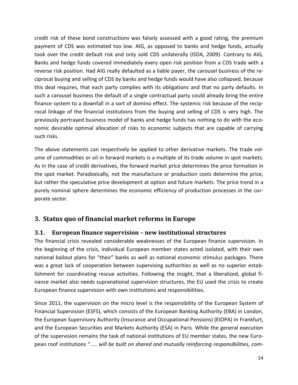credit risk of these bond constructions was falsely assessed with a good rating, the premium payment of CDS was estimated too low. AIG, as opposed to banks and hedge funds, actually took over the credit default risk and only sold CDS unilaterally [\(ISDA, 2009\)](#page-27-14). Contrary to AIG, Banks and hedge funds covered immediately every open risk position from a CDS trade with a reverse risk position. Had AIG really defaulted as a liable payer, the carousel business of the reciprocal buying and selling of CDS by banks and hedge funds would have also collapsed, because this deal requires, that each party complies with its obligations and that no party defaults. In such a carousel business the default of a single contractual party could already bring the entire finance system to a downfall in a sort of domino effect. The systemic risk because of the reciprocal linkage of the financial institutions from the buying and selling of CDS is very high. The previously portrayed business model of banks and hedge funds has nothing to do with the economic desirable optimal allocation of risks to economic subjects that are capable of carrying such risks.

The above statements can respectively be applied to other derivative markets. The trade volume of commodities or oil in forward markets is a multiple of its trade volume in spot markets. As in the case of credit derivatives, the forward market price determines the price formation in the spot market. Paradoxically, not the manufacture or production costs determine the price, but rather the speculative price development at option and future markets. The price trend in a purely nominal sphere determines the economic efficiency of production processes in the corporate sector.

#### <span id="page-15-0"></span>**3. Status quo of financial market reforms in Europe**

#### <span id="page-15-1"></span>**3.1. European finance supervision – new institutional structures**

The financial crisis revealed considerable weaknesses of the European finance supervision. In the beginning of the crisis, individual European member states acted isolated, with their own national bailout plans for "their" banks as well as national economic stimulus packages. There was a great lack of cooperation between supervising authorities as well as no superior establishment for coordinating rescue activities. Following the insight, that a liberalized, global finance market also needs supranational supervision structures, the EU used the crisis to create European finance supervision with own institutions and responsibilities.

Since 2011, the supervision on the micro level is the responsibility of the European System of Financial Supervision (ESFS), which consists of the European Banking Authority (EBA) in London, the European Supervisory Authority (Insurance and Occupational Pensions) (EIOPA) in Frankfurt, and the European Securities and Markets Authority (ESA) in Paris. While the general execution of the supervision remains the task of national institutions of EU member states, the new European roof institutions "*….. will be built on shared and mutually reinforcing responsibilities, com-*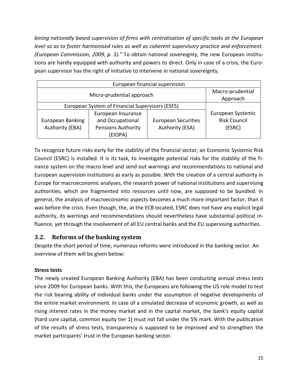*bining nationally based supervision of firms with centralisation of specific tasks at the European level so as to foster harmonised rules as well as coherent supervisory practice and enforcement. [\(European Commission, 2009, p. 3\)](#page-27-15)."* To obtain national sovereignty, the new European institutions are hardly equipped with authority and powers to direct. Only in case of a crisis, the European supervisor has the right of initiative to intervene in national sovereignty.

| European financial supervision                  |                                                                                |                                               |                                                    |  |  |  |  |  |  |
|-------------------------------------------------|--------------------------------------------------------------------------------|-----------------------------------------------|----------------------------------------------------|--|--|--|--|--|--|
|                                                 | Macro-prudential<br>Approach                                                   |                                               |                                                    |  |  |  |  |  |  |
| European System of Financial Supervisors (ESFS) |                                                                                |                                               |                                                    |  |  |  |  |  |  |
| European Banking<br>Authority (EBA)             | European Insurance<br>and Occupational<br><b>Pensions Authority</b><br>(EIOPA) | <b>European Securities</b><br>Authority (ESA) | European Systemic<br><b>Risk Council</b><br>(ESRC) |  |  |  |  |  |  |

To recognize future risks early for the stability of the financial sector, an Economic Systemic Risk Council (ESRC) is installed. It is its task, to investigate potential risks for the stability of the finance system on the macro level and send out warnings and recommendations to national and European supervision institutions as early as possible. With the creation of a central authority in Europe for macroeconomic analyses, the research power of national institutions and supervising authorities, which are fragmented into resources until now, are supposed to be bundled. In general, the analysis of macroeconomic aspects becomes a much more important factor, than it was before the crisis. Even though, the, at the ECB located, ESRC does not have any explicit legal authority, its warnings and recommendations should nevertheless have substantial political influence, yet through the involvement of all EU central banks and the EU supervising authorities.

#### <span id="page-16-0"></span>**3.2. Reforms of the banking system**

Despite the short period of time, numerous reforms were introduced in the banking sector. An overview of them will be given below:

#### **Stress tests**

The newly created European Banking Authority (EBA) has been conducting annual stress tests since 2009 for European banks. With this, the Europeans are following the US role model to test the risk bearing ability of individual banks under the assumption of negative developments of the entire market environment. In case of a simulated decrease of economic growth, as well as rising interest rates in the money market and in the capital market, the bank's equity capital (hard core capital, common equity tier 1) must not fall under the 5% mark. With the publication of the results of stress tests, transparency is supposed to be improved and to strengthen the market participants' trust in the European banking sector.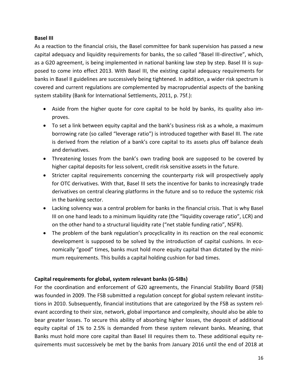#### **Basel III**

As a reaction to the financial crisis, the Basel committee for bank supervision has passed a new capital adequacy and liquidity requirements for banks, the so called "Basel III-directive", which, as a G20 agreement, is being implemented in national banking law step by step. Basel III is supposed to come into effect 2013. With Basel III, the existing capital adequacy requirements for banks in Basel II guidelines are successively being tightened. In addition, a wider risk spectrum is covered and current regulations are complemented by macroprudential aspects of the banking system stability [\(Bank for International Settlements, 2011, p. 75f.\)](#page-27-4):

- Aside from the higher quote for core capital to be hold by banks, its quality also improves.
- To set a link between equity capital and the bank's business risk as a whole, a maximum borrowing rate (so called "leverage ratio") is introduced together with Basel III. The rate is derived from the relation of a bank's core capital to its assets plus off balance deals and derivatives.
- Threatening losses from the bank's own trading book are supposed to be covered by higher capital deposits for less solvent, credit risk sensitive assets in the future.
- Stricter capital requirements concerning the counterparty risk will prospectively apply for OTC derivatives. With that, Basel III sets the incentive for banks to increasingly trade derivatives on central clearing platforms in the future and so to reduce the systemic risk in the banking sector.
- Lacking solvency was a central problem for banks in the financial crisis. That is why Basel III on one hand leads to a minimum liquidity rate (the "liquidity coverage ratio", LCR) and on the other hand to a structural liquidity rate ("net stable funding ratio", NSFR).
- The problem of the bank regulation's procyclicality in its reaction on the real economic development is supposed to be solved by the introduction of capital cushions. In economically "good" times, banks must hold more equity capital than dictated by the minimum requirements. This builds a capital holding cushion for bad times.

#### **Capital requirements for global, system relevant banks (G-SIBs)**

For the coordination and enforcement of G20 agreements, the Financial Stability Board (FSB) was founded in 2009. The FSB submitted a regulation concept for global system relevant institutions in 2010. Subsequently, financial institutions that are categorized by the FSB as system relevant according to their size, network, global importance and complexity, should also be able to bear greater losses. To secure this ability of absorbing higher losses, the deposit of additional equity capital of 1% to 2.5% is demanded from these system relevant banks. Meaning, that Banks must hold more core capital than Basel III requires them to. These additional equity requirements must successively be met by the banks from January 2016 until the end of 2018 at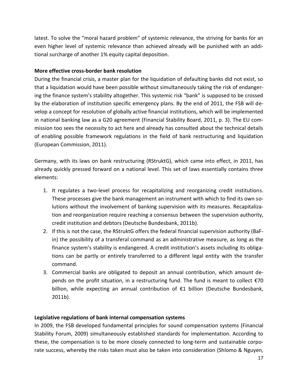latest. To solve the "moral hazard problem" of systemic relevance, the striving for banks for an even higher level of systemic relevance than achieved already will be punished with an additional surcharge of another 1% equity capital deposition.

#### **More effective cross-border bank resolution**

During the financial crisis, a master plan for the liquidation of defaulting banks did not exist, so that a liquidation would have been possible without simultaneously taking the risk of endangering the finance system's stability altogether. This systemic risk "bank" is supposed to be crossed by the elaboration of institution specific emergency plans. By the end of 2011, the FSB will develop a concept for resolution of globally active financial institutions, which will be implemented in national banking law as a G20 agreement [\(Financial Stability Board, 2011, p. 3\)](#page-27-16). The EU commission too sees the necessity to act here and already has consulted about the technical details of enabling possible framework regulations in the field of bank restructuring and liquidation [\(European Commission, 2011\)](#page-27-17).

Germany, with its laws on bank restructuring (RStruktG), which came into effect, in 2011, has already quickly pressed forward on a national level. This set of laws essentially contains three elements:

- 1. It regulates a two-level process for recapitalizing and reorganizing credit institutions. These processes give the bank management an instrument with which to find its own solutions without the involvement of banking supervision with its measures. Recapitalization and reorganization require reaching a consensus between the supervision authority, credit institution and debtors [\(Deutsche Bundesbank, 2011b\)](#page-27-18).
- 2. If this is not the case, the RStruktG offers the federal financial supervision authority (BaFin) the possibility of a transferal command as an administrative measure, as long as the finance system's stability is endangered. A credit institution's assets including its obligations can be partly or entirely transferred to a different legal entity with the transfer command.
- 3. Commercial banks are obligated to deposit an annual contribution, which amount depends on the profit situation, in a restructuring fund. The fund is meant to collect €70 billion, while expecting an annual contribution of €1 billion [\(Deutsche Bundesbank,](#page-27-18)  [2011b\)](#page-27-18).

#### **Legislative regulations of bank internal compensation systems**

In 2009, the FSB developed fundamental principles for sound compensation systems [\(Financial](#page-27-7)  [Stability Forum, 2009\)](#page-27-7) simultaneously established standards for implementation. According to these, the compensation is to be more closely connected to long-term and sustainable corporate success, whereby the risks taken must also be taken into consideration [\(Shlomo & Nguyen,](#page-28-4)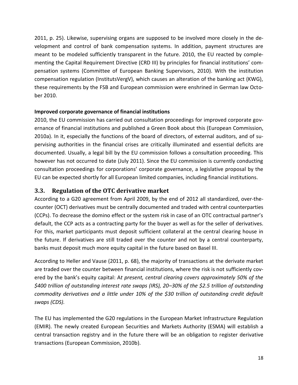[2011, p. 25\)](#page-28-4). Likewise, supervising organs are supposed to be involved more closely in the development and control of bank compensation systems. In addition, payment structures are meant to be modeled sufficiently transparent in the future. 2010, the EU reacted by complementing the Capital Requirement Directive (CRD III) by principles for financial institutions' compensation systems [\(Committee of European Banking Supervisors, 2010\)](#page-27-19). With the institution compensation regulation (InstitutsVergV), which causes an alteration of the banking act (KWG), these requirements by the FSB and European commission were enshrined in German law October 2010.

#### **Improved corporate governance of financial institutions**

2010, the EU commission has carried out consultation proceedings for improved corporate governance of financial institutions and published a Green Book about this [\(European Commission,](#page-27-20)  [2010a\)](#page-27-20). In it, especially the functions of the board of directors, of external auditors, and of supervising authorities in the financial crises are critically illuminated and essential deficits are documented. Usually, a legal bill by the EU commission follows a consultation proceeding. This however has not occurred to date (July 2011). Since the EU commission is currently conducting consultation proceedings for corporations' corporate governance, a legislative proposal by the EU can be expected shortly for all European limited companies, including financial institutions.

#### <span id="page-19-0"></span>**3.3. Regulation of the OTC derivative market**

According to a G20 agreement from April 2009, by the end of 2012 all standardized, over-thecounter (OCT) derivatives must be centrally documented and traded with central counterparties (CCPs). To decrease the domino effect or the system risk in case of an OTC contractual partner's default, the CCP acts as a contracting party for the buyer as well as for the seller of derivatives. For this, market participants must deposit sufficient collateral at the central clearing house in the future. If derivatives are still traded over the counter and not by a central counterparty, banks must deposit much more equity capital in the future based on Basel III.

According to [Heller and Vause \(2011, p. 68\)](#page-27-21), the majority of transactions at the derivate market are traded over the counter between financial institutions, where the risk is not sufficiently covered by the bank's equity capital: A*t present, central clearing covers approximately 50% of the \$400 trillion of outstanding interest rate swaps (IRS), 20–30% of the \$2.5 trillion of outstanding commodity derivatives and a little under 10% of the \$30 trillion of outstanding credit default swaps (CDS).* 

The EU has implemented the G20 regulations in the European Market Infrastructure Regulation (EMIR). The newly created European Securities and Markets Authority (ESMA) will establish a central transaction registry and in the future there will be an obligation to register derivative transactions [\(European Commission, 2010b\)](#page-27-22).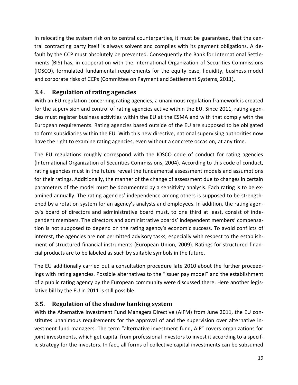In relocating the system risk on to central counterparties, it must be guaranteed, that the central contracting party itself is always solvent and complies with its payment obligations. A default by the CCP must absolutely be prevented. Consequently the Bank for International Settlements (BIS) has, in cooperation with the International Organization of Securities Commissions (IOSCO), formulated fundamental requirements for the equity base, liquidity, business model and corporate risks of CCPs [\(Committee on Payment and Settlement Systems, 2011\)](#page-27-23).

#### <span id="page-20-0"></span>**3.4. Regulation of rating agencies**

With an EU regulation concerning rating agencies, a unanimous regulation framework is created for the supervision and control of rating agencies active within the EU. Since 2011, rating agencies must register business activities within the EU at the ESMA and with that comply with the European requirements. Rating agencies based outside of the EU are supposed to be obligated to form subsidiaries within the EU. With this new directive, national supervising authorities now have the right to examine rating agencies, even without a concrete occasion, at any time.

The EU regulations roughly correspond with the IOSCO code of conduct for rating agencies [\(International Organization of Securities Commissions, 2004\)](#page-27-24). According to this code of conduct, rating agencies must in the future reveal the fundamental assessment models and assumptions for their ratings. Additionally, the manner of the change of assessment due to changes in certain parameters of the model must be documented by a sensitivity analysis. Each rating is to be examined annually. The rating agencies' independence among others is supposed to be strengthened by a rotation system for an agency's analysts and employees. In addition, the rating agency's board of directors and administrative board must, to one third at least, consist of independent members. The directors and administrative boards' independent members' compensation is not supposed to depend on the rating agency's economic success. To avoid conflicts of interest, the agencies are not permitted advisory tasks, especially with respect to the establishment of structured financial instruments [\(European Union, 2009\)](#page-27-25). Ratings for structured financial products are to be labeled as such by suitable symbols in the future.

The EU additionally carried out a consultation procedure late 2010 about the further proceedings with rating agencies. Possible alternatives to the "issuer pay model" and the establishment of a public rating agency by the European community were discussed there. Here another legislative bill by the EU in 2011 is still possible.

#### <span id="page-20-1"></span>**3.5. Regulation of the shadow banking system**

With the Alternative Investment Fund Managers Directive (AIFM) from June 2011, the EU constitutes unanimous requirements for the approval of and the supervision over alternative investment fund managers. The term "alternative investment fund, AIF" covers organizations for joint investments, which get capital from professional investors to invest it according to a specific strategy for the investors. In fact, all forms of collective capital investments can be subsumed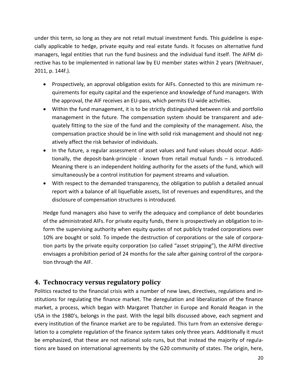under this term, so long as they are not retail mutual investment funds. This guideline is especially applicable to hedge, private equity and real estate funds. It focuses on alternative fund managers, legal entities that run the fund business and the individual fund itself. The AIFM directive has to be implemented in national law by EU member states within 2 years [\(Weitnauer,](#page-28-5)  [2011, p. 144f.\)](#page-28-5).

- Prospectively, an approval obligation exists for AIFs. Connected to this are minimum requirements for equity capital and the experience and knowledge of fund managers. With the approval, the AIF receives an EU-pass, which permits EU-wide activities.
- Within the fund management, it is to be strictly distinguished between risk and portfolio management in the future. The compensation system should be transparent and adequately fitting to the size of the fund and the complexity of the management. Also, the compensation practice should be in line with solid risk management and should not negatively affect the risk behavior of individuals.
- In the future, a regular assessment of asset values and fund values should occur. Additionally, the deposit-bank-principle - known from retail mutual funds – is introduced. Meaning there is an independent holding authority for the assets of the fund, which will simultaneously be a control institution for payment streams and valuation.
- With respect to the demanded transparency, the obligation to publish a detailed annual report with a balance of all liquefiable assets, list of revenues and expenditures, and the disclosure of compensation structures is introduced.

Hedge fund managers also have to verify the adequacy and compliance of debt boundaries of the administrated AIFs. For private equity funds, there is prospectively an obligation to inform the supervising authority when equity quotes of not publicly traded corporations over 10% are bought or sold. To impede the destruction of corporations or the sale of corporation parts by the private equity corporation (so called "asset stripping"), the AIFM directive envisages a prohibition period of 24 months for the sale after gaining control of the corporation through the AIF.

#### <span id="page-21-0"></span>**4. Technocracy versus regulatory policy**

Politics reacted to the financial crisis with a number of new laws, directives, regulations and institutions for regulating the finance market. The deregulation and liberalization of the finance market, a process, which began with Margaret Thatcher in Europe and Ronald Reagan in the USA in the 1980's, belongs in the past. With the legal bills discussed above, each segment and every institution of the finance market are to be regulated. This turn from an extensive deregulation to a complete regulation of the finance system takes only three years. Additionally it must be emphasized, that these are not national solo runs, but that instead the majority of regulations are based on international agreements by the G20 community of states. The origin, here,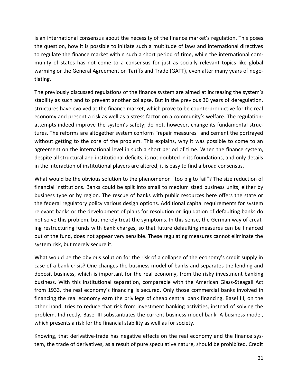is an international consensus about the necessity of the finance market's regulation. This poses the question, how it is possible to initiate such a multitude of laws and international directives to regulate the finance market within such a short period of time, while the international community of states has not come to a consensus for just as socially relevant topics like global warming or the General Agreement on Tariffs and Trade (GATT), even after many years of negotiating.

The previously discussed regulations of the finance system are aimed at increasing the system's stability as such and to prevent another collapse. But in the previous 30 years of deregulation, structures have evolved at the finance market, which prove to be counterproductive for the real economy and present a risk as well as a stress factor on a community's welfare. The regulationattempts indeed improve the system's safety; do not, however, change its fundamental structures. The reforms are altogether system conform "repair measures" and cement the portrayed without getting to the core of the problem. This explains, why it was possible to come to an agreement on the international level in such a short period of time. When the finance system, despite all structural and institutional deficits, is not doubted in its foundations, and only details in the interaction of institutional players are altered, it is easy to find a broad consensus.

What would be the obvious solution to the phenomenon "too big to fail"? The size reduction of financial institutions. Banks could be split into small to medium sized business units, either by business type or by region. The rescue of banks with public resources here offers the state or the federal regulatory policy various design options. Additional capital requirements for system relevant banks or the development of plans for resolution or liquidation of defaulting banks do not solve this problem, but merely treat the symptoms. In this sense, the German way of creating restructuring funds with bank charges, so that future defaulting measures can be financed out of the fund, does not appear very sensible. These regulating measures cannot eliminate the system risk, but merely secure it.

What would be the obvious solution for the risk of a collapse of the economy's credit supply in case of a bank crisis? One changes the business model of banks and separates the lending and deposit business, which is important for the real economy, from the risky investment banking business. With this institutional separation, comparable with the American Glass-Steagall Act from 1933, the real economy's financing is secured. Only those commercial banks involved in financing the real economy earn the privilege of cheap central bank financing. Basel III, on the other hand, tries to reduce that risk from investment banking activities, instead of solving the problem. Indirectly, Basel III substantiates the current business model bank. A business model, which presents a risk for the financial stability as well as for society.

Knowing, that derivative-trade has negative effects on the real economy and the finance system, the trade of derivatives, as a result of pure speculative nature, should be prohibited. Credit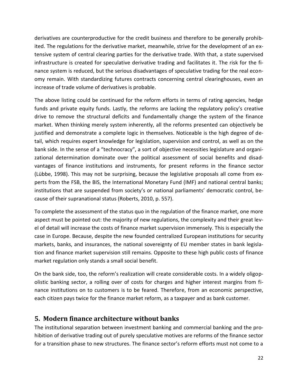derivatives are counterproductive for the credit business and therefore to be generally prohibited. The regulations for the derivative market, meanwhile, strive for the development of an extensive system of central clearing parties for the derivative trade. With that, a state supervised infrastructure is created for speculative derivative trading and facilitates it. The risk for the finance system is reduced, but the serious disadvantages of speculative trading for the real economy remain. With standardizing futures contracts concerning central clearinghouses, even an increase of trade volume of derivatives is probable.

The above listing could be continued for the reform efforts in terms of rating agencies, hedge funds and private equity funds. Lastly, the reforms are lacking the regulatory policy's creative drive to remove the structural deficits and fundamentally change the system of the finance market. When thinking merely system inherently, all the reforms presented can objectively be justified and demonstrate a complete logic in themselves. Noticeable is the high degree of detail, which requires expert knowledge for legislation, supervision and control, as well as on the bank side. In the sense of a "technocracy", a sort of objective necessities legislature and organizational determination dominate over the political assessment of social benefits and disadvantages of finance institutions and instruments, for present reforms in the finance sector [\(Lübbe, 1998\)](#page-28-6). This may not be surprising, because the legislative proposals all come from experts from the FSB, the BIS, the International Monetary Fund (IMF) and national central banks; institutions that are suspended from society's or national parliaments' democratic control, because of their supranational status [\(Roberts, 2010, p. 557\)](#page-28-7).

To complete the assessment of the status quo in the regulation of the finance market, one more aspect must be pointed out: the majority of new regulations, the complexity and their great level of detail will increase the costs of finance market supervision immensely. This is especially the case in Europe. Because, despite the new founded centralized European institutions for security markets, banks, and insurances, the national sovereignty of EU member states in bank legislation and finance market supervision still remains. Opposite to these high public costs of finance market regulation only stands a small social benefit.

On the bank side, too, the reform's realization will create considerable costs. In a widely oligopolistic banking sector, a rolling over of costs for charges and higher interest margins from finance institutions on to customers is to be feared. Therefore, from an economic perspective, each citizen pays twice for the finance market reform, as a taxpayer and as bank customer.

#### <span id="page-23-0"></span>**5. Modern finance architecture without banks**

The institutional separation between investment banking and commercial banking and the prohibition of derivative trading out of purely speculative motives are reforms of the finance sector for a transition phase to new structures. The finance sector's reform efforts must not come to a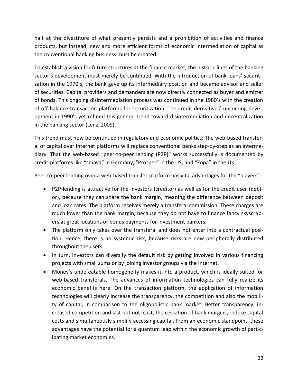halt at the divestiture of what presently persists and a prohibition of activities and finance products, but instead, new and more efficient forms of economic intermediation of capital as the conventional banking business must be created.

To establish a vision for future structures at the finance market, the historic lines of the banking sector's development must merely be continued. With the introduction of bank loans' securitization in the 1970's, the bank gave up its intermediary position and became advisor and seller of securities. Capital providers and demanders are now directly connected as buyer and emitter of bonds. This ongoing disintermediation process was continued in the 1980's with the creation of off balance transaction platforms for securitization. The credit derivatives' upcoming development in 1990's yet refined this general trend toward disintermediation and decentralization in the banking sector [\(Lenz, 2009\)](#page-28-8).

This trend must now be continued in regulatory and economic politics: The web-based transferal of capital over Internet platforms will replace conventional banks step-by-step as an intermediary. That the web-based "peer-to-peer lending (P2P)" works successfully is documented by credit-platforms like "smava" in Germany, "Prosper" in the US, and "Zopa" in the UK.

Peer-to-peer lending over a web-based transfer-platform has vital advantages for the "players":

- P2P-lending is attractive for the investors (creditor) as well as for the credit user (debtor), because they can share the bank margin, meaning the difference between deposit and loan rates. The platform receives merely a transferal commission. These charges are much lower than the bank margin, because they do not have to finance fancy skyscrapers at great locations or bonus payments for investment bankers.
- The platform only takes over the transferal and does not enter into a contractual position. Hence, there is no systemic risk, because risks are now peripherally distributed throughout the users.
- In turn, investors can diversify the default risk by getting involved in various financing projects with small sums or by joining investor groups via the Internet.
- Money's undefeatable homogeneity makes it into a product, which is ideally suited for web-based transferals. The advances of information technologies can fully realize its economic benefits here. On the transaction platform, the application of information technologies will clearly increase the transparency, the competition and also the mobility of capital, in comparison to the oligopolistic bank market. Better transparency, increased competition and last but not least, the cessation of bank margins, reduce capital costs and simultaneously simplify accessing capital. From an economic standpoint, these advantages have the potential for a quantum leap within the economic growth of participating market economies.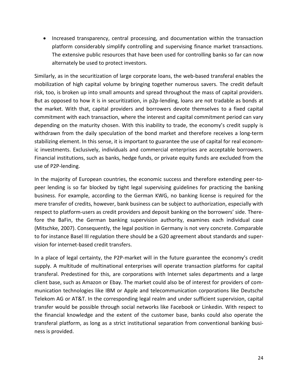• Increased transparency, central processing, and documentation within the transaction platform considerably simplify controlling and supervising finance market transactions. The extensive public resources that have been used for controlling banks so far can now alternately be used to protect investors.

Similarly, as in the securitization of large corporate loans, the web-based transferal enables the mobilization of high capital volume by bringing together numerous savers. The credit default risk, too, is broken up into small amounts and spread throughout the mass of capital providers. But as opposed to how it is in securitization, in p2p-lending, loans are not tradable as bonds at the market. With that, capital providers and borrowers devote themselves to a fixed capital commitment with each transaction, where the interest and capital commitment period can vary depending on the maturity chosen. With this inability to trade, the economy's credit supply is withdrawn from the daily speculation of the bond market and therefore receives a long-term stabilizing element. In this sense, it is important to guarantee the use of capital for real economic investments. Exclusively, individuals and commercial enterprises are acceptable borrowers. Financial institutions, such as banks, hedge funds, or private equity funds are excluded from the use of P2P-lending.

In the majority of European countries, the economic success and therefore extending peer-topeer lending is so far blocked by tight legal supervising guidelines for practicing the banking business. For example, according to the German KWG, no banking license is required for the mere transfer of credits, however, bank business can be subject to authorization, especially with respect to platform-users as credit providers and deposit banking on the borrowers' side. Therefore the BaFin, the German banking supervision authority, examines each individual case [\(Mitschke, 2007\)](#page-28-9). Consequently, the legal position in Germany is not very concrete. Comparable to for instance Basel III regulation there should be a G20 agreement about standards and supervision for internet-based credit transfers.

In a place of legal certainty, the P2P-market will in the future guarantee the economy's credit supply. A multitude of multinational enterprises will operate transaction platforms for capital transferal. Predestined for this, are corporations with Internet sales departments and a large client base, such as Amazon or Ebay. The market could also be of interest for providers of communication technologies like IBM or Apple and telecommunication corporations like Deutsche Telekom AG or AT&T. In the corresponding legal realm and under sufficient supervision, capital transfer would be possible through social networks like Facebook or Linkedin. With respect to the financial knowledge and the extent of the customer base, banks could also operate the transferal platform, as long as a strict institutional separation from conventional banking business is provided.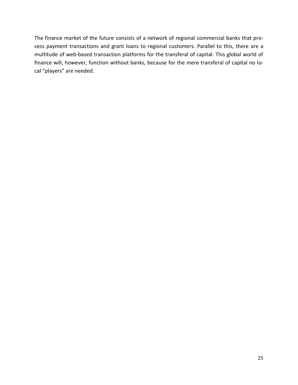The finance market of the future consists of a network of regional commercial banks that process payment transactions and grant loans to regional customers. Parallel to this, there are a multitude of web-based transaction platforms for the transferal of capital. This global world of finance will, however, function without banks, because for the mere transferal of capital no local "players" are needed.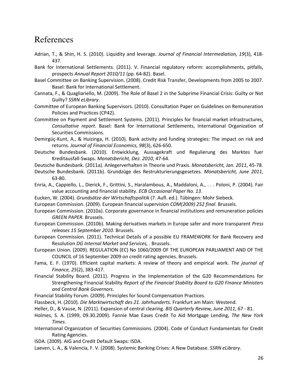### References

- <span id="page-27-10"></span>Adrian, T., & Shin, H. S. (2010). Liquidity and leverage. *Journal of Financial Intermediation, 19*(3), 418- 437.
- <span id="page-27-4"></span>Bank for International Settlements. (2011). V. Financial regulatory reform: accomplishments, pitfalls, prospects *Annual Report 2010/11* (pp. 64-82). Basel.
- <span id="page-27-12"></span>Basel Committee on Banking Supervision. (2008). Credit Risk Transfer, Developments from 2005 to 2007. Basel: Bank for International Settlement.
- <span id="page-27-8"></span>Cannata, F., & Quagliariello, M. (2009). The Role of Basel 2 in the Subprime Financial Crisis: Guilty or Not Guilty? *SSRN eLibrary*.
- <span id="page-27-19"></span>Committee of European Banking Supervisors. (2010). Consultation Paper on Guidelines on Remuneration Policies and Practices (CP42).
- <span id="page-27-23"></span>Committee on Payment and Settlement Systems. (2011). Principles for financial market infrastructures, *Consultative report*. Basel: Bank for International Settlements, International Organization of Securities Commissions.
- <span id="page-27-3"></span>Demirgüç-Kunt, A., & Huizinga, H. (2010). Bank activity and funding strategies: The impact on risk and returns. *Journal of Financial Economics, 98*(3), 626-650.
- <span id="page-27-13"></span>Deutsche Bundesbank. (2010). Entwicklung, Aussagekraft und Regulierung des Marktes fuer Kreditausfall-Swaps. *Monatsbericht, Dez. 2010*, 47-64.
- <span id="page-27-1"></span>Deutsche Bundesbank. (2011a). Anlegerverhalten in Theorie und Praxis. *Monatsbericht, Jan. 2011*, 45-78.
- <span id="page-27-18"></span>Deutsche Bundesbank. (2011b). Grundzüge des Restrukturierungsgesetzes. *Monatsbericht, June 2011*, 63-80.
- <span id="page-27-9"></span>Enria, A., Cappiello, L., Dierick, F., Grittini, S., Haralambous, A., Maddaloni, A., . . . Poloni, P. (2004). Fair value accounting and financial stability. *ECB Occasional Paper No. 13*.
- <span id="page-27-6"></span>Eucken, W. (2004). *Grundsätze der Wirtschaftspolitik* (7. Aufl. ed.). Tübingen: Mohr Siebeck.
- <span id="page-27-15"></span>European Commission. (2009). European financial supervision *COM(2009) 252 final*. Brussels.
- <span id="page-27-20"></span>European Commission. (2010a). Corporate governance in financial institutions and remuneration policies *GREEN PAPER*. Brussels.
- <span id="page-27-22"></span>European Commission. (2010b). Making derivatives markets in Europe safer and more transparent *Press releases 15 September 2010*. Brussels.
- <span id="page-27-17"></span>European Commission. (2011). Technical Details of a possible EU FRAMEWORK for Bank Recovery and Resolution *DG Internal Market and Services,* . Brussels.
- <span id="page-27-25"></span>European Union. (2009). REGULATION (EC) No 1060/2009 OF THE EUROPEAN PARLIAMENT AND OF THE COUNCIL of 16 September 2009 on credit rating agencies. Brussels.
- <span id="page-27-2"></span>Fama, E. F. (1970). Efficient capital markets: A review of theory and empirical work. *The journal of Finance, 25*(2), 383-417.
- <span id="page-27-16"></span>Financial Stability Board. (2011). Progress in the Implementation of the G20 Recommendations for Strengthening Financial Stability *Report of the Financial Stability Board to G20 Finance Ministers and Central Bank Governors*.
- <span id="page-27-7"></span>Financial Stability Forum. (2009). Principles for Sound Compensation Practices.
- <span id="page-27-5"></span>Flassbeck, H. (2010). *Die Marktwirtschaft des 21. Jahrhunderts*. Frankfurt am Main: Westend.
- <span id="page-27-21"></span>Heller, D., & Vause, N. (2011). Expansion of central clearing. *BIS Quarterly Review, June 2011*, 67 - 81.
- <span id="page-27-11"></span>Holmes, S. A. (1999, 09.30.2009). Fannie Mae Eases Credit To Aid Mortgage Lending, *The New York Times*.
- <span id="page-27-24"></span>International Organization of Securities Commissions. (2004). Code of Conduct Fundamentals for Credit Rating Agencies.
- <span id="page-27-14"></span>ISDA. (2009). AIG and Credit Default Swaps: ISDA.
- <span id="page-27-0"></span>Laeven, L. A., & Valencia, F. V. (2008). Systemic Banking Crises: A New Database. *SSRN eLibrary*.